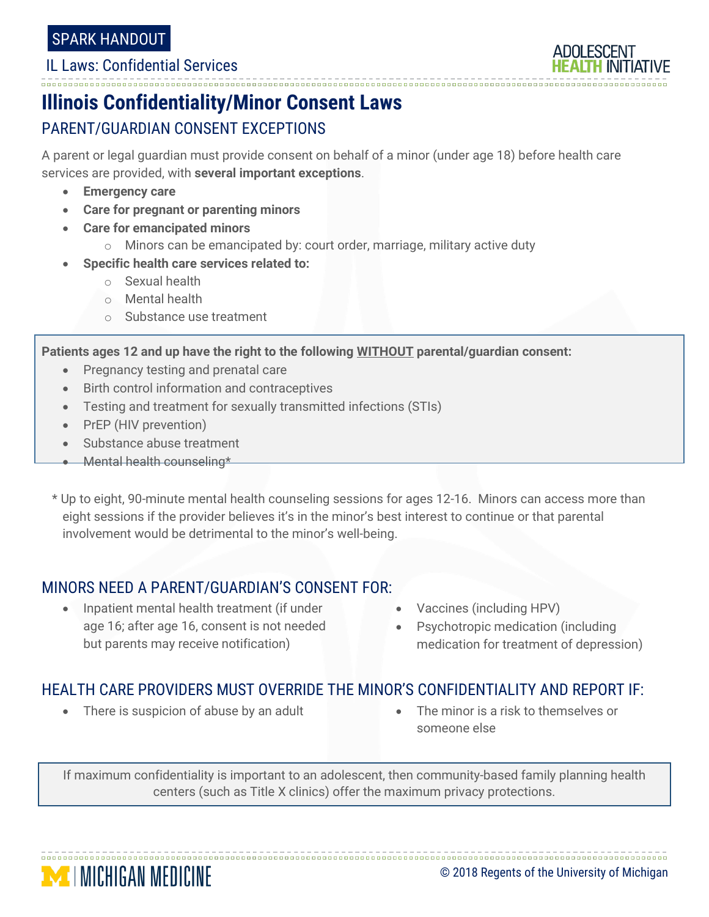#### IL Laws: Confidential Services



## **Illinois Confidentiality/Minor Consent Laws** PARENT/GUARDIAN CONSENT EXCEPTIONS

A parent or legal guardian must provide consent on behalf of a minor (under age 18) before health care services are provided, with **several important exceptions**.

- **Emergency care**
- **Care for pregnant or parenting minors**
- **Care for emancipated minors**
	- o Minors can be emancipated by: court order, marriage, military active duty
- **Specific health care services related to:**
	- o Sexual health
	- o Mental health
	- o Substance use treatment

**Patients ages 12 and up have the right to the following WITHOUT parental/guardian consent:**

- Pregnancy testing and prenatal care
- Birth control information and contraceptives
- Testing and treatment for sexually transmitted infections (STIs)
- PrEP (HIV prevention)
- Substance abuse treatment
- Mental health counseling\*
- \* Up to eight, 90-minute mental health counseling sessions for ages 12-16. Minors can access more than eight sessions if the provider believes it's in the minor's best interest to continue or that parental involvement would be detrimental to the minor's well-being.

### MINORS NEED A PARENT/GUARDIAN'S CONSENT FOR:

- Inpatient mental health treatment (if under age 16; after age 16, consent is not needed but parents may receive notification)
- Vaccines (including HPV)
- Psychotropic medication (including medication for treatment of depression)

#### HEALTH CARE PROVIDERS MUST OVERRIDE THE MINOR'S CONFIDENTIALITY AND REPORT IF:

- There is suspicion of abuse by an adult **•** The minor is a risk to themselves or
- someone else

If maximum confidentiality is important to an adolescent, then community-based family planning health centers (such as Title X clinics) offer the maximum privacy protections.